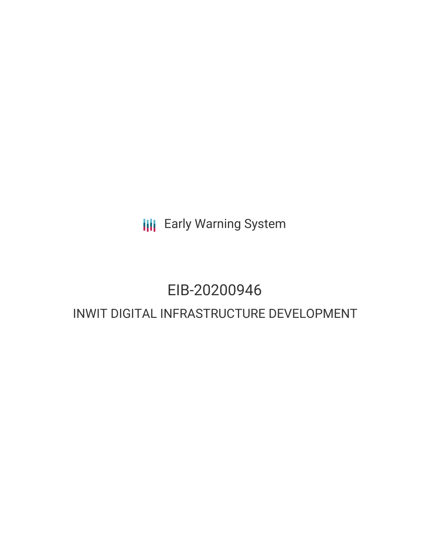**III** Early Warning System

# EIB-20200946

# INWIT DIGITAL INFRASTRUCTURE DEVELOPMENT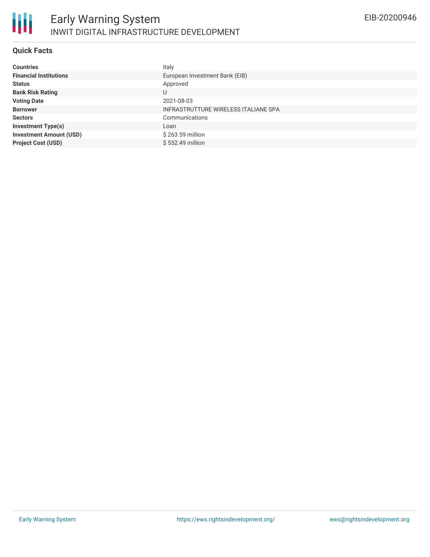

## **Quick Facts**

| <b>Countries</b>               | Italy                                |  |  |  |
|--------------------------------|--------------------------------------|--|--|--|
| <b>Financial Institutions</b>  | European Investment Bank (EIB)       |  |  |  |
| <b>Status</b>                  | Approved                             |  |  |  |
| <b>Bank Risk Rating</b>        | U                                    |  |  |  |
| <b>Voting Date</b>             | 2021-08-03                           |  |  |  |
| <b>Borrower</b>                | INFRASTRUTTURE WIRELESS ITALIANE SPA |  |  |  |
| <b>Sectors</b>                 | Communications                       |  |  |  |
| <b>Investment Type(s)</b>      | Loan                                 |  |  |  |
| <b>Investment Amount (USD)</b> | \$263.59 million                     |  |  |  |
| <b>Project Cost (USD)</b>      | \$552.49 million                     |  |  |  |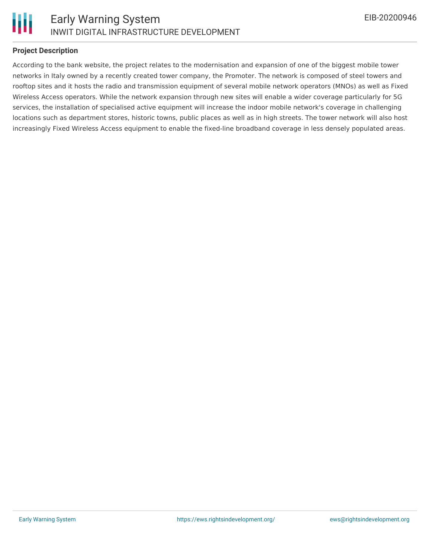

# **Project Description**

According to the bank website, the project relates to the modernisation and expansion of one of the biggest mobile tower networks in Italy owned by a recently created tower company, the Promoter. The network is composed of steel towers and rooftop sites and it hosts the radio and transmission equipment of several mobile network operators (MNOs) as well as Fixed Wireless Access operators. While the network expansion through new sites will enable a wider coverage particularly for 5G services, the installation of specialised active equipment will increase the indoor mobile network's coverage in challenging locations such as department stores, historic towns, public places as well as in high streets. The tower network will also host increasingly Fixed Wireless Access equipment to enable the fixed-line broadband coverage in less densely populated areas.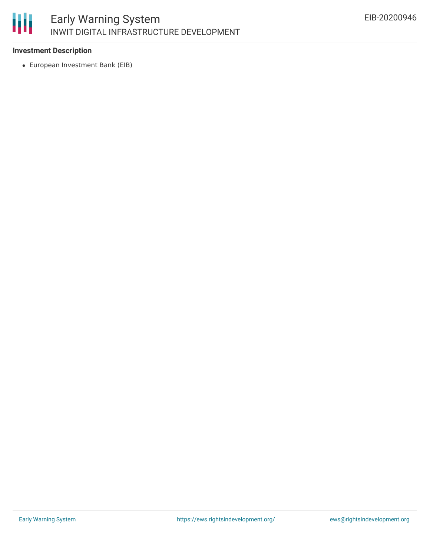

# **Investment Description**

European Investment Bank (EIB)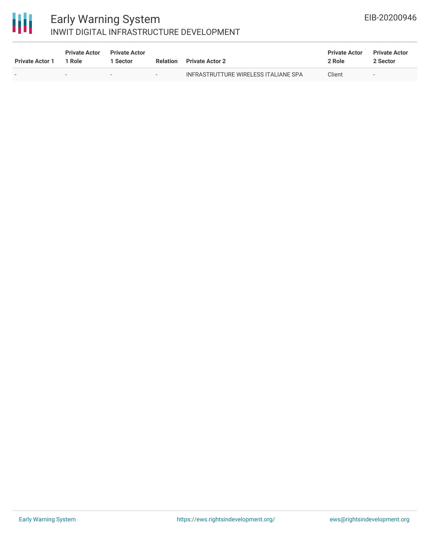# 冊

# Early Warning System INWIT DIGITAL INFRASTRUCTURE DEVELOPMENT

| <b>Private Actor 1</b> | <b>Private Actor</b><br>' Role | <b>Private Actor</b><br>  Sector | <b>Relation</b>          | <b>Private Actor 2</b>               | <b>Private Actor</b><br>2 Role | <b>Private Actor</b><br>2 Sector |
|------------------------|--------------------------------|----------------------------------|--------------------------|--------------------------------------|--------------------------------|----------------------------------|
|                        |                                | $\overline{\phantom{0}}$         | $\overline{\phantom{0}}$ | INFRASTRUTTURE WIRELESS ITALIANE SPA | $C$ lient                      | $\overline{\phantom{a}}$         |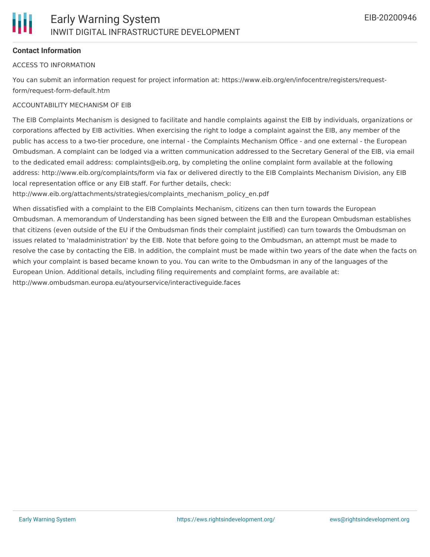# **Contact Information**

### ACCESS TO INFORMATION

You can submit an information request for project information at: https://www.eib.org/en/infocentre/registers/requestform/request-form-default.htm

### ACCOUNTABILITY MECHANISM OF EIB

The EIB Complaints Mechanism is designed to facilitate and handle complaints against the EIB by individuals, organizations or corporations affected by EIB activities. When exercising the right to lodge a complaint against the EIB, any member of the public has access to a two-tier procedure, one internal - the Complaints Mechanism Office - and one external - the European Ombudsman. A complaint can be lodged via a written communication addressed to the Secretary General of the EIB, via email to the dedicated email address: complaints@eib.org, by completing the online complaint form available at the following address: http://www.eib.org/complaints/form via fax or delivered directly to the EIB Complaints Mechanism Division, any EIB local representation office or any EIB staff. For further details, check:

http://www.eib.org/attachments/strategies/complaints\_mechanism\_policy\_en.pdf

When dissatisfied with a complaint to the EIB Complaints Mechanism, citizens can then turn towards the European Ombudsman. A memorandum of Understanding has been signed between the EIB and the European Ombudsman establishes that citizens (even outside of the EU if the Ombudsman finds their complaint justified) can turn towards the Ombudsman on issues related to 'maladministration' by the EIB. Note that before going to the Ombudsman, an attempt must be made to resolve the case by contacting the EIB. In addition, the complaint must be made within two years of the date when the facts on which your complaint is based became known to you. You can write to the Ombudsman in any of the languages of the European Union. Additional details, including filing requirements and complaint forms, are available at: http://www.ombudsman.europa.eu/atyourservice/interactiveguide.faces